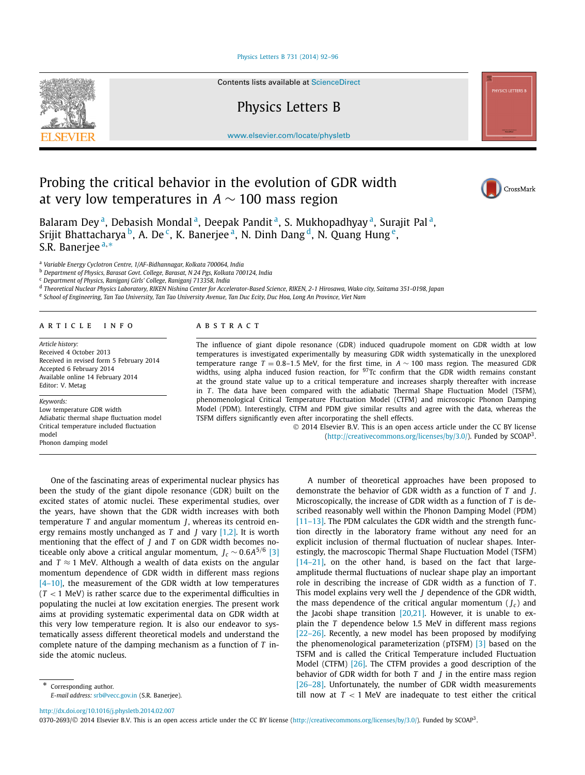### [Physics Letters B 731 \(2014\) 92–96](http://dx.doi.org/10.1016/j.physletb.2014.02.007)



Contents lists available at [ScienceDirect](http://www.ScienceDirect.com/)

# Physics Letters B

[www.elsevier.com/locate/physletb](http://www.elsevier.com/locate/physletb)

# Probing the critical behavior in the evolution of GDR width at very low temperatures in *A* ∼ 100 mass region



CrossMark

Balaram Dey<sup>a</sup>, Debasish Mondal<sup>a</sup>, Deepak Pandit<sup>a</sup>, S. Mukhopadhyay<sup>a</sup>, Surajit Pal<sup>a</sup>, Srijit Bhattacharya <sup>b</sup>, A. De<sup>c</sup>, K. Banerjee<sup>a</sup>, N. Dinh Dang <sup>d</sup>, N. Quang Hung<sup>e</sup>, S.R. Banerjee <sup>a</sup>*,*<sup>∗</sup>

<sup>a</sup> *Variable Energy Cyclotron Centre, 1/AF-Bidhannagar, Kolkata 700064, India*

<sup>b</sup> *Department of Physics, Barasat Govt. College, Barasat, N 24 Pgs, Kolkata 700124, India*

<sup>c</sup> *Department of Physics, Raniganj Girls' College, Raniganj 713358, India*

<sup>d</sup> *Theoretical Nuclear Physics Laboratory, RIKEN Nishina Center for Accelerator-Based Science, RIKEN, 2-1 Hirosawa, Wako city, Saitama 351-0198, Japan*

<sup>e</sup> *School of Engineering, Tan Tao University, Tan Tao University Avenue, Tan Duc Ecity, Duc Hoa, Long An Province, Viet Nam*

#### article info abstract

*Article history:* Received 4 October 2013 Received in revised form 5 February 2014 Accepted 6 February 2014 Available online 14 February 2014 Editor: V. Metag

#### *Keywords:*

Low temperature GDR width Adiabatic thermal shape fluctuation model Critical temperature included fluctuation model Phonon damping model

The influence of giant dipole resonance (GDR) induced quadrupole moment on GDR width at low temperatures is investigated experimentally by measuring GDR width systematically in the unexplored temperature range *T* = 0*.*8–1*.*5 MeV, for the first time, in *A* ∼ 100 mass region. The measured GDR widths, using alpha induced fusion reaction, for  $97$ Tc confirm that the GDR width remains constant at the ground state value up to a critical temperature and increases sharply thereafter with increase in *T*. The data have been compared with the adiabatic Thermal Shape Fluctuation Model (TSFM), phenomenological Critical Temperature Fluctuation Model (CTFM) and microscopic Phonon Damping Model (PDM). Interestingly, CTFM and PDM give similar results and agree with the data, whereas the TSFM differs significantly even after incorporating the shell effects.

> © 2014 Elsevier B.V. This is an open access article under the CC BY license [\(http://creativecommons.org/licenses/by/3.0/\)](http://creativecommons.org/licenses/by/3.0/). Funded by SCOAP3.

One of the fascinating areas of experimental nuclear physics has been the study of the giant dipole resonance (GDR) built on the excited states of atomic nuclei. These experimental studies, over the years, have shown that the GDR width increases with both temperature *T* and angular momentum *J*, whereas its centroid energy remains mostly unchanged as *T* and *J* vary [\[1,2\].](#page-4-0) It is worth mentioning that the effect of *J* and *T* on GDR width becomes noticeable only above a critical angular momentum,  $J_c \sim 0.6A^{5/6}$  [\[3\]](#page-4-0) and  $T \approx 1$  MeV. Although a wealth of data exists on the angular momentum dependence of GDR width in different mass regions [4-10], the measurement of the GDR width at low temperatures (*T <* 1 MeV) is rather scarce due to the experimental difficulties in populating the nuclei at low excitation energies. The present work aims at providing systematic experimental data on GDR width at this very low temperature region. It is also our endeavor to systematically assess different theoretical models and understand the complete nature of the damping mechanism as a function of *T* inside the atomic nucleus.

A number of theoretical approaches have been proposed to demonstrate the behavior of GDR width as a function of *T* and *J*. Microscopically, the increase of GDR width as a function of *T* is described reasonably well within the Phonon Damping Model (PDM) [\[11–13\].](#page-4-0) The PDM calculates the GDR width and the strength function directly in the laboratory frame without any need for an explicit inclusion of thermal fluctuation of nuclear shapes. Interestingly, the macroscopic Thermal Shape Fluctuation Model (TSFM) [\[14–21\],](#page-4-0) on the other hand, is based on the fact that largeamplitude thermal fluctuations of nuclear shape play an important role in describing the increase of GDR width as a function of *T* . This model explains very well the *J* dependence of the GDR width, the mass dependence of the critical angular momentum  $(I_c)$  and the Jacobi shape transition  $[20,21]$ . However, it is unable to explain the *T* dependence below 1.5 MeV in different mass regions [\[22–26\].](#page-4-0) Recently, a new model has been proposed by modifying the phenomenological parameterization (pTSFM) [\[3\]](#page-4-0) based on the TSFM and is called the Critical Temperature included Fluctuation Model (CTFM) [\[26\].](#page-4-0) The CTFM provides a good description of the behavior of GDR width for both *T* and *J* in the entire mass region [\[26–28\].](#page-4-0) Unfortunately, the number of GDR width measurements till now at  $T < 1$  MeV are inadequate to test either the critical

<http://dx.doi.org/10.1016/j.physletb.2014.02.007>

0370-2693/© 2014 Elsevier B.V. This is an open access article under the CC BY license [\(http://creativecommons.org/licenses/by/3.0/\)](http://creativecommons.org/licenses/by/3.0/). Funded by SCOAP<sup>3</sup>.

<sup>\*</sup> Corresponding author. *E-mail address:* [srb@vecc.gov.in](mailto:srb@vecc.gov.in) (S.R. Banerjee).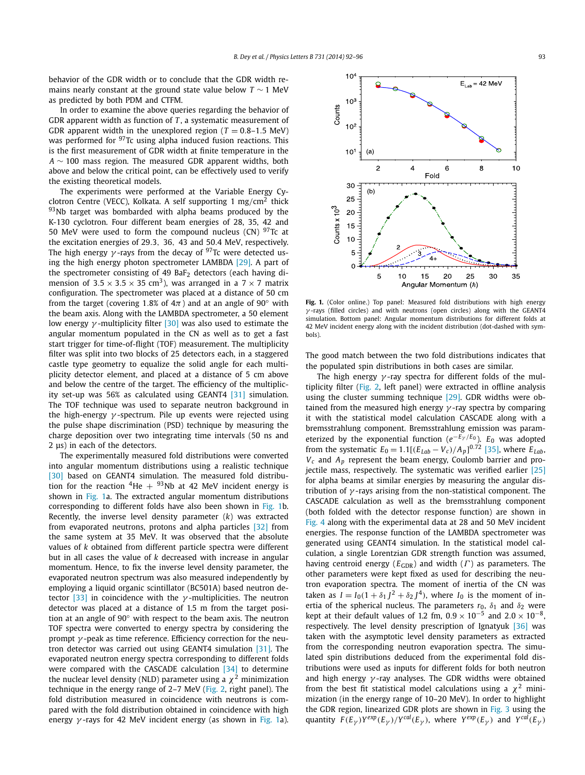behavior of the GDR width or to conclude that the GDR width remains nearly constant at the ground state value below *T* ∼ 1 MeV as predicted by both PDM and CTFM.

In order to examine the above queries regarding the behavior of GDR apparent width as function of *T* , a systematic measurement of GDR apparent width in the unexplored region ( $T = 0.8-1.5$  MeV) was performed for  $97$ Tc using alpha induced fusion reactions. This is the first measurement of GDR width at finite temperature in the *A* ∼ 100 mass region. The measured GDR apparent widths, both above and below the critical point, can be effectively used to verify the existing theoretical models.

The experiments were performed at the Variable Energy Cyclotron Centre (VECC), Kolkata. A self supporting 1 mg*/*cm<sup>2</sup> thick  $93$ Nb target was bombarded with alpha beams produced by the K-130 cyclotron. Four different beam energies of 28, 35, 42 and 50 MeV were used to form the compound nucleus (CN)  $97$ Tc at the excitation energies of 29*.*3*,* 36*,* 43 and 50*.*4 MeV, respectively. The high energy  $\gamma$ -rays from the decay of <sup>97</sup>Tc were detected using the high energy photon spectrometer LAMBDA [\[29\].](#page-4-0) A part of the spectrometer consisting of 49 BaF<sub>2</sub> detectors (each having dimension of  $3.5 \times 3.5 \times 35$  cm<sup>3</sup>), was arranged in a  $7 \times 7$  matrix configuration. The spectrometer was placed at a distance of 50 cm from the target (covering 1.8% of  $4\pi$ ) and at an angle of 90 $^{\circ}$  with the beam axis. Along with the LAMBDA spectrometer, a 50 element low energy *γ* -multiplicity filter [\[30\]](#page-4-0) was also used to estimate the angular momentum populated in the CN as well as to get a fast start trigger for time-of-flight (TOF) measurement. The multiplicity filter was split into two blocks of 25 detectors each, in a staggered castle type geometry to equalize the solid angle for each multiplicity detector element, and placed at a distance of 5 cm above and below the centre of the target. The efficiency of the multiplicity set-up was 56% as calculated using GEANT4 [\[31\]](#page-4-0) simulation. The TOF technique was used to separate neutron background in the high-energy *γ* -spectrum. Pile up events were rejected using the pulse shape discrimination (PSD) technique by measuring the charge deposition over two integrating time intervals (50 ns and 2 μs) in each of the detectors.

The experimentally measured fold distributions were converted into angular momentum distributions using a realistic technique [\[30\]](#page-4-0) based on GEANT4 simulation. The measured fold distribution for the reaction  ${}^{4}$ He +  ${}^{93}$ Nb at 42 MeV incident energy is shown in Fig. 1a. The extracted angular momentum distributions corresponding to different folds have also been shown in Fig. 1b. Recently, the inverse level density parameter (*k*) was extracted from evaporated neutrons, protons and alpha particles [\[32\]](#page-4-0) from the same system at 35 MeV. It was observed that the absolute values of *k* obtained from different particle spectra were different but in all cases the value of *k* decreased with increase in angular momentum. Hence, to fix the inverse level density parameter, the evaporated neutron spectrum was also measured independently by employing a liquid organic scintillator (BC501A) based neutron detector [\[33\]](#page-4-0) in coincidence with the *γ* -multiplicities. The neutron detector was placed at a distance of 1.5 m from the target position at an angle of 90◦ with respect to the beam axis. The neutron TOF spectra were converted to energy spectra by considering the prompt *γ* -peak as time reference. Efficiency correction for the neutron detector was carried out using GEANT4 simulation [\[31\].](#page-4-0) The evaporated neutron energy spectra corresponding to different folds were compared with the CASCADE calculation [\[34\]](#page-4-0) to determine the nuclear level density (NLD) parameter using a  $\chi^2$  minimization technique in the energy range of 2–7 MeV [\(Fig. 2,](#page-2-0) right panel). The fold distribution measured in coincidence with neutrons is compared with the fold distribution obtained in coincidence with high energy *γ* -rays for 42 MeV incident energy (as shown in Fig. 1a).



**Fig. 1.** (Color online.) Top panel: Measured fold distributions with high energy *γ* -rays (filled circles) and with neutrons (open circles) along with the GEANT4 simulation. Bottom panel: Angular momentum distributions for different folds at 42 MeV incident energy along with the incident distribution (dot-dashed with symbols).

The good match between the two fold distributions indicates that the populated spin distributions in both cases are similar.

The high energy *γ* -ray spectra for different folds of the multiplicity filter [\(Fig. 2,](#page-2-0) left panel) were extracted in offline analysis using the cluster summing technique [\[29\].](#page-4-0) GDR widths were obtained from the measured high energy *γ* -ray spectra by comparing it with the statistical model calculation CASCADE along with a bremsstrahlung component. Bremsstrahlung emission was parameterized by the exponential function (*e*−*E<sup>γ</sup> /E*<sup>0</sup> ). *E*<sup>0</sup> was adopted from the systematic  $E_0 = 1.1[(E_{Lab} - V_c)/A_p]^{0.72}$  [\[35\],](#page-4-0) where  $E_{Lab}$ , *Vc* and *Ap* represent the beam energy, Coulomb barrier and projectile mass, respectively. The systematic was verified earlier  $[25]$ for alpha beams at similar energies by measuring the angular distribution of *γ* -rays arising from the non-statistical component. The CASCADE calculation as well as the bremsstrahlung component (both folded with the detector response function) are shown in [Fig. 4](#page-2-0) along with the experimental data at 28 and 50 MeV incident energies. The response function of the LAMBDA spectrometer was generated using GEANT4 simulation. In the statistical model calculation, a single Lorentzian GDR strength function was assumed, having centroid energy ( $E_{GDR}$ ) and width ( $\Gamma$ ) as parameters. The other parameters were kept fixed as used for describing the neutron evaporation spectra. The moment of inertia of the CN was taken as  $I = I_0(1 + \delta_1 J^2 + \delta_2 J^4)$ , where  $I_0$  is the moment of inertia of the spherical nucleus. The parameters  $r_0$ ,  $\delta_1$  and  $\delta_2$  were kept at their default values of 1.2 fm,  $0.9 \times 10^{-5}$  and  $2.0 \times 10^{-8}$ , respectively. The level density prescription of Ignatyuk [\[36\]](#page-4-0) was taken with the asymptotic level density parameters as extracted from the corresponding neutron evaporation spectra. The simulated spin distributions deduced from the experimental fold distributions were used as inputs for different folds for both neutron and high energy *γ* -ray analyses. The GDR widths were obtained from the best fit statistical model calculations using a  $\chi^2$  minimization (in the energy range of 10–20 MeV). In order to highlight the GDR region, linearized GDR plots are shown in [Fig. 3](#page-2-0) using the quantity  $F(E_{\gamma})Y^{exp}(E_{\gamma})/Y^{cal}(E_{\gamma})$ , where  $Y^{exp}(E_{\gamma})$  and  $Y^{cal}(E_{\gamma})$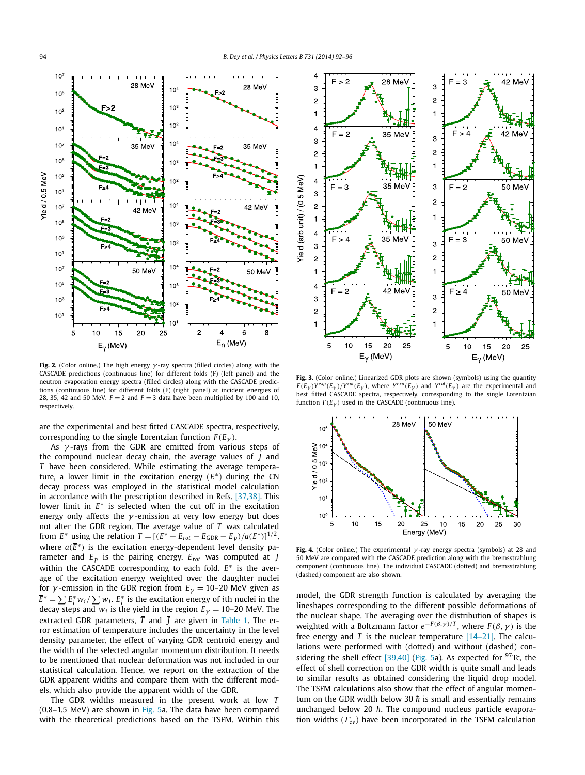<span id="page-2-0"></span>

**Fig. 2.** (Color online.) The high energy *γ* -ray spectra (filled circles) along with the CASCADE predictions (continuous line) for different folds (F) (left panel) and the neutron evaporation energy spectra (filled circles) along with the CASCADE predictions (continuous line) for different folds (F) (right panel) at incident energies of 28, 35, 42 and 50 MeV.  $F = 2$  and  $F = 3$  data have been multiplied by 100 and 10, respectively.

are the experimental and best fitted CASCADE spectra, respectively, corresponding to the single Lorentzian function  $F(E_{\gamma})$ .

As *γ* -rays from the GDR are emitted from various steps of the compound nuclear decay chain, the average values of *J* and *T* have been considered. While estimating the average temperature, a lower limit in the excitation energy (*E*∗) during the CN decay process was employed in the statistical model calculation in accordance with the prescription described in Refs. [\[37,38\].](#page-4-0) This lower limit in *E*∗ is selected when the cut off in the excitation energy only affects the *γ* -emission at very low energy but does not alter the GDR region. The average value of *T* was calculated from  $\overline{E}$ <sup>\*</sup> using the relation  $\overline{T} = [(\overline{E}^* - \overline{E}_{rot} - E_{GDR} - E_p)/a(\overline{E}^*)]^{1/2}$ , where  $a(\overline{E}^*)$  is the excitation energy-dependent level density parameter and  $E_p$  is the pairing energy.  $\overline{E}_{rot}$  was computed at  $\overline{J}$ within the CASCADE corresponding to each fold. *E*∗ is the average of the excitation energy weighted over the daughter nuclei for *γ*-emission in the GDR region from  $E<sub>\gamma</sub> = 10-20$  MeV given as  $\overline{E}^* = \sum E_i^* w_i / \sum w_i$ .  $E_i^*$  is the excitation energy of *i*th nuclei in the decay steps and  $w_i$  is the yield in the region  $E<sub>\gamma</sub> = 10-20$  MeV. The extracted GDR parameters,  $\overline{T}$  and  $\overline{J}$  are given in [Table 1.](#page-3-0) The error estimation of temperature includes the uncertainty in the level density parameter, the effect of varying GDR centroid energy and the width of the selected angular momentum distribution. It needs to be mentioned that nuclear deformation was not included in our statistical calculation. Hence, we report on the extraction of the GDR apparent widths and compare them with the different models, which also provide the apparent width of the GDR.

The GDR widths measured in the present work at low *T* (0.8–1.5 MeV) are shown in [Fig. 5a](#page-3-0). The data have been compared with the theoretical predictions based on the TSFM. Within this



**Fig. 3.** (Color online.) Linearized GDR plots are shown (symbols) using the quantity  $F(E_Y)Y^{exp}(E_Y)/Y^{cal}(E_Y)$ , where  $Y^{exp}(E_Y)$  and  $Y^{cal}(E_Y)$  are the experimental and best fitted CASCADE spectra, respectively, corresponding to the single Lorentzian function  $F(E_{\gamma})$  used in the CASCADE (continuous line).



**Fig. 4.** (Color online.) The experimental *γ* -ray energy spectra (symbols) at 28 and 50 MeV are compared with the CASCADE prediction along with the bremsstrahlung component (continuous line). The individual CASCADE (dotted) and bremsstrahlung (dashed) component are also shown.

model, the GDR strength function is calculated by averaging the lineshapes corresponding to the different possible deformations of the nuclear shape. The averaging over the distribution of shapes is weighted with a Boltzmann factor  $e^{-F(\beta, \gamma)/T}$ , where  $F(\beta, \gamma)$  is the free energy and *T* is the nuclear temperature  $[14-21]$ . The calculations were performed with (dotted) and without (dashed) con-sidering the shell effect [\[39,40\]](#page-4-0) [\(Fig. 5a](#page-3-0)). As expected for  $97$ Tc, the effect of shell correction on the GDR width is quite small and leads to similar results as obtained considering the liquid drop model. The TSFM calculations also show that the effect of angular momentum on the GDR width below 30  $\hbar$  is small and essentially remains unchanged below 20  $\hbar$ . The compound nucleus particle evaporation widths (*Γev*) have been incorporated in the TSFM calculation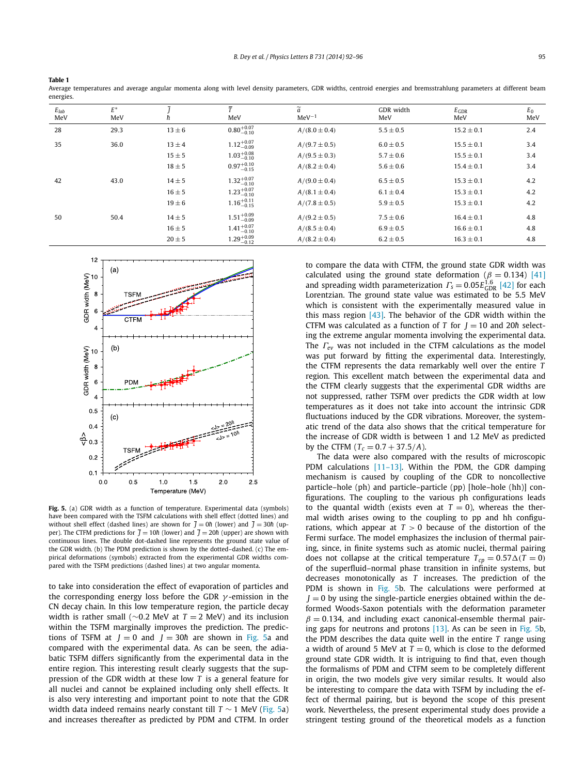<span id="page-3-0"></span>

Average temperatures and average angular momenta along with level density parameters, GDR widths, centroid energies and bremsstrahlung parameters at different beam energies.

| $E_{lab}$<br>MeV | $E^*$<br>MeV |            | $\overline{\tau}$<br>MeV | $\widetilde{a}$<br>$MeV^{-1}$ | GDR width<br>MeV | $E_{\rm GDR}$<br>MeV | $E_0$<br>MeV |
|------------------|--------------|------------|--------------------------|-------------------------------|------------------|----------------------|--------------|
| 28               | 29.3         | $13 \pm 6$ | $0.80^{+0.07}_{-0.10}$   | $A/(8.0 \pm 0.4)$             | $5.5 \pm 0.5$    | $15.2 \pm 0.1$       | 2.4          |
| 35               | 36.0         | $13 \pm 4$ | $1.12^{+0.07}_{-0.09}$   | $A/(9.7 \pm 0.5)$             | $6.0 \pm 0.5$    | $15.5 \pm 0.1$       | 3.4          |
|                  |              | $15 \pm 5$ | $1.03_{-0.10}^{+0.08}$   | $A/(9.5 \pm 0.3)$             | $5.7 \pm 0.6$    | $15.5 \pm 0.1$       | 3.4          |
|                  |              | $18 \pm 5$ | $0.97^{+0.10}_{-0.15}$   | $A/(8.2 \pm 0.4)$             | $5.6 \pm 0.6$    | $15.4 \pm 0.1$       | 3.4          |
| 42               | 43.0         | $14 \pm 5$ | $1.32^{+0.07}_{-0.10}$   | $A/(9.0 \pm 0.4)$             | $6.5 \pm 0.5$    | $15.3 \pm 0.1$       | 4.2          |
|                  |              | $16 \pm 5$ | $1.23^{+0.07}_{-0.10}$   | $A/(8.1 \pm 0.4)$             | $6.1 \pm 0.4$    | $15.3 \pm 0.1$       | 4.2          |
|                  |              | $19 \pm 6$ | $1.16^{+0.11}_{-0.15}$   | $A/(7.8 \pm 0.5)$             | $5.9 \pm 0.5$    | $15.3 \pm 0.1$       | 4.2          |
| 50               | 50.4         | $14 \pm 5$ | $1.51^{+0.09}_{-0.09}$   | $A/(9.2 \pm 0.5)$             | $7.5 \pm 0.6$    | $16.4 \pm 0.1$       | 4.8          |
|                  |              | $16 \pm 5$ | $1.41^{+0.07}_{-0.10}$   | $A/(8.5 \pm 0.4)$             | $6.9 \pm 0.5$    | $16.6 \pm 0.1$       | 4.8          |
|                  |              | $20 \pm 5$ | $1.29^{+0.09}_{-0.12}$   | $A/(8.2 \pm 0.4)$             | $6.2 \pm 0.5$    | $16.3 \pm 0.1$       | 4.8          |



Fig. 5. (a) GDR width as a function of temperature. Experimental data (symbols) have been compared with the TSFM calculations with shell effect (dotted lines) and without shell effect (dashed lines) are shown for  $\overline{J} = 0$ *h* (lower) and  $\overline{J} = 30$ *h*<sup> $\overline{J}$ </sup> per). The CTFM predictions for  $\bar{l} = 10\hbar$  (lower) and  $\bar{l} = 20\hbar$  (upper) are shown with continuous lines. The double dot-dashed line represents the ground state value of the GDR width. (b) The PDM prediction is shown by the dotted–dashed. (c) The empirical deformations (symbols) extracted from the experimental GDR widths compared with the TSFM predictions (dashed lines) at two angular momenta.

to take into consideration the effect of evaporation of particles and the corresponding energy loss before the GDR *γ* -emission in the CN decay chain. In this low temperature region, the particle decay width is rather small (∼0*.*2 MeV at *T* = 2 MeV) and its inclusion within the TSFM marginally improves the prediction. The predictions of TSFM at  $J = 0$  and  $J = 30\hbar$  are shown in Fig. 5a and compared with the experimental data. As can be seen, the adiabatic TSFM differs significantly from the experimental data in the entire region. This interesting result clearly suggests that the suppression of the GDR width at these low *T* is a general feature for all nuclei and cannot be explained including only shell effects. It is also very interesting and important point to note that the GDR width data indeed remains nearly constant till *T* ∼ 1 MeV (Fig. 5a) and increases thereafter as predicted by PDM and CTFM. In order to compare the data with CTFM, the ground state GDR width was calculated using the ground state deformation ( $\beta = 0.134$ ) [\[41\]](#page-4-0) and spreading width parameterization  $\Gamma$ <sup>*s*</sup> = 0.05*E*<sup>1.6</sup><sub>GDR</sub> [\[42\]](#page-4-0) for each Lorentzian. The ground state value was estimated to be 5.5 MeV which is consistent with the experimentally measured value in this mass region  $[43]$ . The behavior of the GDR width within the CTFM was calculated as a function of *T* for  $J = 10$  and 20*h* selecting the extreme angular momenta involving the experimental data. The *Γev* was not included in the CTFM calculations as the model was put forward by fitting the experimental data. Interestingly, the CTFM represents the data remarkably well over the entire *T* region. This excellent match between the experimental data and the CTFM clearly suggests that the experimental GDR widths are not suppressed, rather TSFM over predicts the GDR width at low temperatures as it does not take into account the intrinsic GDR fluctuations induced by the GDR vibrations. Moreover, the systematic trend of the data also shows that the critical temperature for the increase of GDR width is between 1 and 1.2 MeV as predicted by the CTFM ( $T_c = 0.7 + 37.5/A$ ).

The data were also compared with the results of microscopic PDM calculations  $[11-13]$ . Within the PDM, the GDR damping mechanism is caused by coupling of the GDR to noncollective particle–hole (ph) and particle–particle (pp) [hole–hole (hh)] configurations. The coupling to the various ph configurations leads to the quantal width (exists even at  $T = 0$ ), whereas the thermal width arises owing to the coupling to pp and hh configurations, which appear at  $T > 0$  because of the distortion of the Fermi surface. The model emphasizes the inclusion of thermal pairing, since, in finite systems such as atomic nuclei, thermal pairing does not collapse at the critical temperature  $T_{cp} = 0.57 \Delta(T = 0)$ of the superfluid–normal phase transition in infinite systems, but decreases monotonically as *T* increases. The prediction of the PDM is shown in Fig. 5b. The calculations were performed at  $J = 0$  by using the single-particle energies obtained within the deformed Woods-Saxon potentials with the deformation parameter  $\beta = 0.134$ , and including exact canonical-ensemble thermal pairing gaps for neutrons and protons [\[13\].](#page-4-0) As can be seen in Fig. 5b, the PDM describes the data quite well in the entire *T* range using a width of around 5 MeV at  $T = 0$ , which is close to the deformed ground state GDR width. It is intriguing to find that, even though the formalisms of PDM and CTFM seem to be completely different in origin, the two models give very similar results. It would also be interesting to compare the data with TSFM by including the effect of thermal pairing, but is beyond the scope of this present work. Nevertheless, the present experimental study does provide a stringent testing ground of the theoretical models as a function